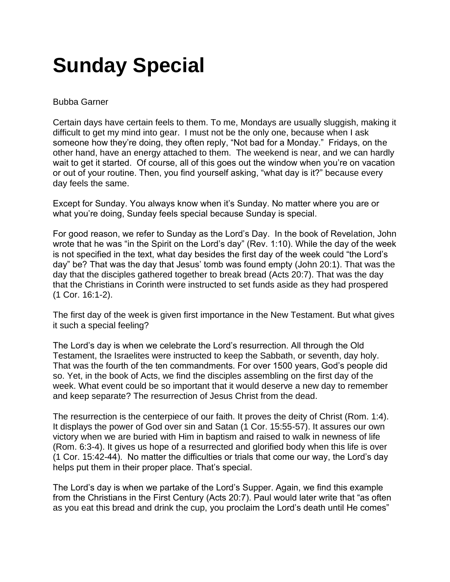## **Sunday Special**

## Bubba Garner

Certain days have certain feels to them. To me, Mondays are usually sluggish, making it difficult to get my mind into gear. I must not be the only one, because when I ask someone how they're doing, they often reply, "Not bad for a Monday." Fridays, on the other hand, have an energy attached to them. The weekend is near, and we can hardly wait to get it started. Of course, all of this goes out the window when you're on vacation or out of your routine. Then, you find yourself asking, "what day is it?" because every day feels the same.

Except for Sunday. You always know when it's Sunday. No matter where you are or what you're doing, Sunday feels special because Sunday is special.

For good reason, we refer to Sunday as the Lord's Day. In the book of Revelation, John wrote that he was "in the Spirit on the Lord's day" (Rev. 1:10). While the day of the week is not specified in the text, what day besides the first day of the week could "the Lord's day" be? That was the day that Jesus' tomb was found empty (John 20:1). That was the day that the disciples gathered together to break bread (Acts 20:7). That was the day that the Christians in Corinth were instructed to set funds aside as they had prospered (1 Cor. 16:1-2).

The first day of the week is given first importance in the New Testament. But what gives it such a special feeling?

The Lord's day is when we celebrate the Lord's resurrection. All through the Old Testament, the Israelites were instructed to keep the Sabbath, or seventh, day holy. That was the fourth of the ten commandments. For over 1500 years, God's people did so. Yet, in the book of Acts, we find the disciples assembling on the first day of the week. What event could be so important that it would deserve a new day to remember and keep separate? The resurrection of Jesus Christ from the dead.

The resurrection is the centerpiece of our faith. It proves the deity of Christ (Rom. 1:4). It displays the power of God over sin and Satan (1 Cor. 15:55-57). It assures our own victory when we are buried with Him in baptism and raised to walk in newness of life (Rom. 6:3-4). It gives us hope of a resurrected and glorified body when this life is over (1 Cor. 15:42-44). No matter the difficulties or trials that come our way, the Lord's day helps put them in their proper place. That's special.

The Lord's day is when we partake of the Lord's Supper. Again, we find this example from the Christians in the First Century (Acts 20:7). Paul would later write that "as often as you eat this bread and drink the cup, you proclaim the Lord's death until He comes"